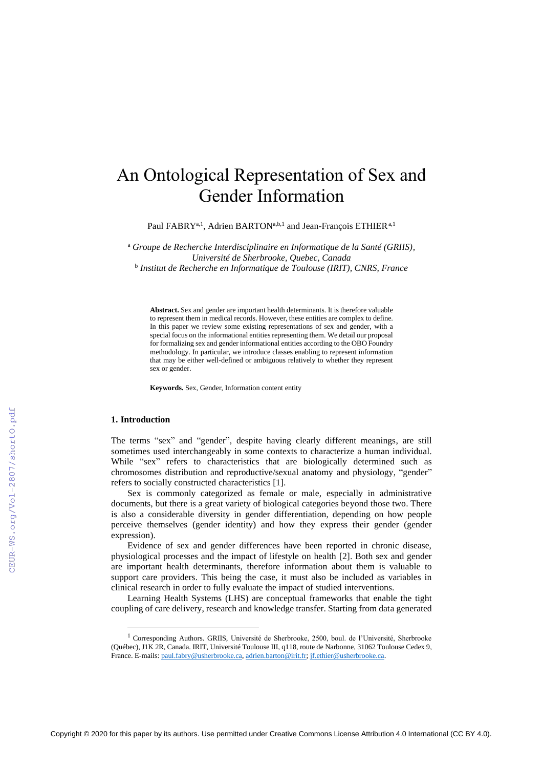# An Ontological Representation of Sex and Gender Information

Paul FABRY<sup>a, 1</sup>, Adrien BARTON<sup>a,b, 1</sup> and Jean-François ETHIER<sup>a, 1</sup>

<sup>a</sup> *Groupe de Recherche Interdisciplinaire en Informatique de la Santé (GRIIS), Université de Sherbrooke, Quebec, Canada* b *Institut de Recherche en Informatique de Toulouse (IRIT), CNRS, France*

**Abstract.** Sex and gender are important health determinants. It is therefore valuable to represent them in medical records. However, these entities are complex to define. In this paper we review some existing representations of sex and gender, with a special focus on the informational entities representing them. We detail our proposal for formalizing sex and gender informational entities according to the OBO Foundry methodology. In particular, we introduce classes enabling to represent information that may be either well-defined or ambiguous relatively to whether they represent sex or gender.

**Keywords.** Sex, Gender, Information content entity

## **1. Introduction**

The terms "sex" and "gender", despite having clearly different meanings, are still sometimes used interchangeably in some contexts to characterize a human individual. While "sex" refers to characteristics that are biologically determined such as chromosomes distribution and reproductive/sexual anatomy and physiology, "gender" refers to socially constructed characteristics [1].

Sex is commonly categorized as female or male, especially in administrative documents, but there is a great variety of biological categories beyond those two. There is also a considerable diversity in gender differentiation, depending on how people perceive themselves (gender identity) and how they express their gender (gender expression).

Evidence of sex and gender differences have been reported in chronic disease, physiological processes and the impact of lifestyle on health [2]. Both sex and gender are important health determinants, therefore information about them is valuable to support care providers. This being the case, it must also be included as variables in clinical research in order to fully evaluate the impact of studied interventions.

Learning Health Systems (LHS) are conceptual frameworks that enable the tight coupling of care delivery, research and knowledge transfer. Starting from data generated

<sup>&</sup>lt;sup>1</sup> Corresponding Authors. GRIIS, Université de Sherbrooke, 2500, boul. de l'Université, Sherbrooke (Québec), J1K 2R, Canada. IRIT, Université Toulouse III, q118, route de Narbonne, 31062 Toulouse Cedex 9, France. E-mails: [paul.fabry@usherbrooke.ca,](mailto:paul.fabry@usherbrooke.ca) [adrien.barton@irit.fr;](mailto:adrien.barton@irit.fr) [jf.ethier@usherbrooke.ca.](mailto:jf.ethier@usherbrooke.ca)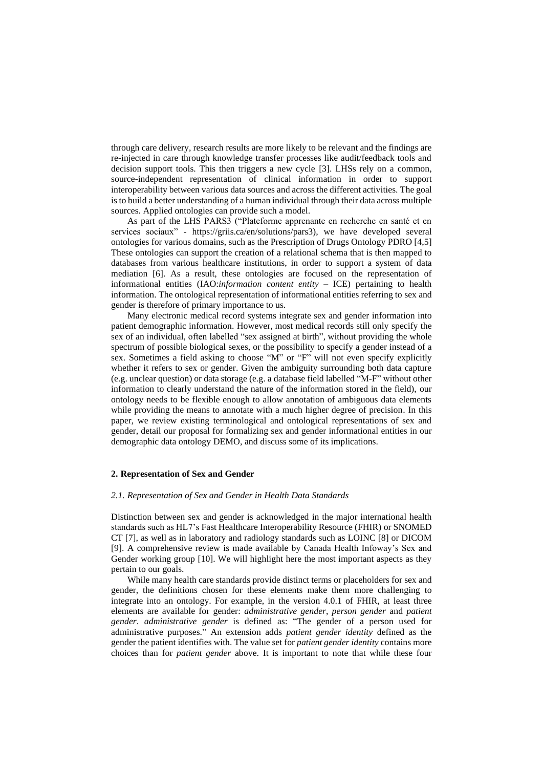through care delivery, research results are more likely to be relevant and the findings are re-injected in care through knowledge transfer processes like audit/feedback tools and decision support tools. This then triggers a new cycle [3]. LHSs rely on a common, source-independent representation of clinical information in order to support interoperability between various data sources and across the different activities. The goal is to build a better understanding of a human individual through their data across multiple sources. Applied ontologies can provide such a model.

As part of the LHS PARS3 ("Plateforme apprenante en recherche en santé et en services sociaux" - https://griis.ca/en/solutions/pars3), we have developed several ontologies for various domains, such as the Prescription of Drugs Ontology PDRO [4,5] These ontologies can support the creation of a relational schema that is then mapped to databases from various healthcare institutions, in order to support a system of data mediation [6]. As a result, these ontologies are focused on the representation of informational entities (IAO:*information content entity* – ICE) pertaining to health information. The ontological representation of informational entities referring to sex and gender is therefore of primary importance to us.

Many electronic medical record systems integrate sex and gender information into patient demographic information. However, most medical records still only specify the sex of an individual, often labelled "sex assigned at birth", without providing the whole spectrum of possible biological sexes, or the possibility to specify a gender instead of a sex. Sometimes a field asking to choose "M" or "F" will not even specify explicitly whether it refers to sex or gender. Given the ambiguity surrounding both data capture (e.g. unclear question) or data storage (e.g. a database field labelled "M-F" without other information to clearly understand the nature of the information stored in the field), our ontology needs to be flexible enough to allow annotation of ambiguous data elements while providing the means to annotate with a much higher degree of precision. In this paper, we review existing terminological and ontological representations of sex and gender, detail our proposal for formalizing sex and gender informational entities in our demographic data ontology DEMO, and discuss some of its implications.

## **2. Representation of Sex and Gender**

#### *2.1. Representation of Sex and Gender in Health Data Standards*

Distinction between sex and gender is acknowledged in the major international health standards such as HL7's Fast Healthcare Interoperability Resource (FHIR) or SNOMED CT [7], as well as in laboratory and radiology standards such as LOINC [8] or DICOM [9]. A comprehensive review is made available by Canada Health Infoway's Sex and Gender working group [10]. We will highlight here the most important aspects as they pertain to our goals.

While many health care standards provide distinct terms or placeholders for sex and gender, the definitions chosen for these elements make them more challenging to integrate into an ontology. For example, in the version 4.0.1 of FHIR, at least three elements are available for gender: *administrative gender*, *person gender* and *patient gender*. *administrative gender* is defined as: "The gender of a person used for administrative purposes." An extension adds *patient gender identity* defined as the gender the patient identifies with. The value set for *patient gender identity* contains more choices than for *patient gender* above. It is important to note that while these four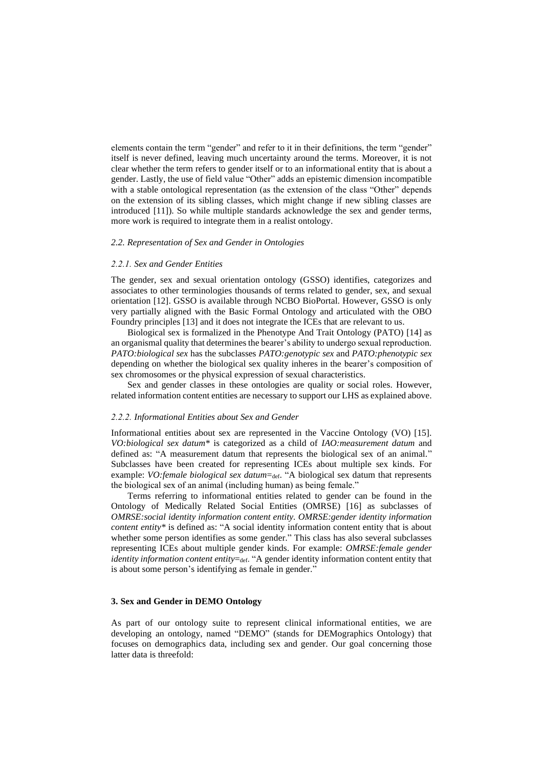elements contain the term "gender" and refer to it in their definitions, the term "gender" itself is never defined, leaving much uncertainty around the terms. Moreover, it is not clear whether the term refers to gender itself or to an informational entity that is about a gender. Lastly, the use of field value "Other" adds an epistemic dimension incompatible with a stable ontological representation (as the extension of the class "Other" depends on the extension of its sibling classes, which might change if new sibling classes are introduced [11]). So while multiple standards acknowledge the sex and gender terms, more work is required to integrate them in a realist ontology.

#### *2.2. Representation of Sex and Gender in Ontologies*

## *2.2.1. Sex and Gender Entities*

The gender, sex and sexual orientation ontology (GSSO) identifies, categorizes and associates to other terminologies thousands of terms related to gender, sex, and sexual orientation [12]. GSSO is available through NCBO BioPortal. However, GSSO is only very partially aligned with the Basic Formal Ontology and articulated with the OBO Foundry principles [13] and it does not integrate the ICEs that are relevant to us.

Biological sex is formalized in the Phenotype And Trait Ontology (PATO) [14] as an organismal quality that determines the bearer's ability to undergo sexual reproduction. *PATO:biological sex* has the subclasses *PATO:genotypic sex* and *PATO:phenotypic sex* depending on whether the biological sex quality inheres in the bearer's composition of sex chromosomes or the physical expression of sexual characteristics.

Sex and gender classes in these ontologies are quality or social roles. However, related information content entities are necessary to support our LHS as explained above.

#### *2.2.2. Informational Entities about Sex and Gender*

Informational entities about sex are represented in the Vaccine Ontology (VO) [15]. *VO:biological sex datum\** is categorized as a child of *IAO:measurement datum* and defined as: "A measurement datum that represents the biological sex of an animal." Subclasses have been created for representing ICEs about multiple sex kinds. For example: *VO:female biological sex datum*=def. "A biological sex datum that represents the biological sex of an animal (including human) as being female."

Terms referring to informational entities related to gender can be found in the Ontology of Medically Related Social Entities (OMRSE) [16] as subclasses of *OMRSE:social identity information content entity. OMRSE:gender identity information content entity\** is defined as: "A social identity information content entity that is about whether some person identifies as some gender." This class has also several subclasses representing ICEs about multiple gender kinds. For example: *OMRSE:female gender identity information content entity*=def. "A gender identity information content entity that is about some person's identifying as female in gender."

## **3. Sex and Gender in DEMO Ontology**

As part of our ontology suite to represent clinical informational entities, we are developing an ontology, named "DEMO" (stands for DEMographics Ontology) that focuses on demographics data, including sex and gender. Our goal concerning those latter data is threefold: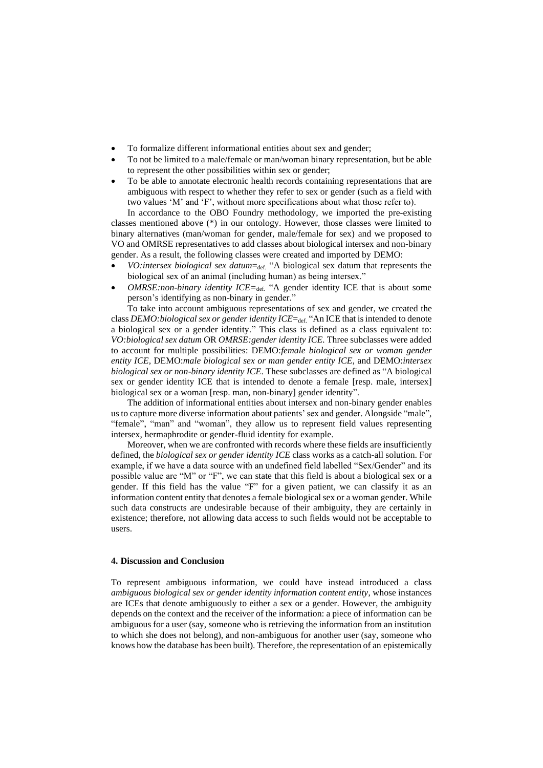- To formalize different informational entities about sex and gender;
- To not be limited to a male/female or man/woman binary representation, but be able to represent the other possibilities within sex or gender;
- To be able to annotate electronic health records containing representations that are ambiguous with respect to whether they refer to sex or gender (such as a field with two values 'M' and 'F', without more specifications about what those refer to).

In accordance to the OBO Foundry methodology, we imported the pre-existing classes mentioned above (\*) in our ontology. However, those classes were limited to binary alternatives (man/woman for gender, male/female for sex) and we proposed to VO and OMRSE representatives to add classes about biological intersex and non-binary gender. As a result, the following classes were created and imported by DEMO:

- *VO:intersex biological sex datum*=def. "A biological sex datum that represents the biological sex of an animal (including human) as being intersex."
- *OMRSE:non-binary identity ICE=*def. "A gender identity ICE that is about some person's identifying as non-binary in gender."

To take into account ambiguous representations of sex and gender, we created the class *DEMO:biological sex or gender identity ICE*=def. "An ICE that is intended to denote a biological sex or a gender identity." This class is defined as a class equivalent to: *VO:biological sex datum* OR *OMRSE:gender identity ICE.* Three subclasses were added to account for multiple possibilities: DEMO:*female biological sex or woman gender entity ICE,* DEMO:*male biological sex or man gender entity ICE*, and DEMO:*intersex biological sex or non-binary identity ICE*. These subclasses are defined as "A biological sex or gender identity ICE that is intended to denote a female [resp. male, intersex] biological sex or a woman [resp. man, non-binary] gender identity".

The addition of informational entities about intersex and non-binary gender enables us to capture more diverse information about patients' sex and gender. Alongside "male", "female", "man" and "woman", they allow us to represent field values representing intersex, hermaphrodite or gender-fluid identity for example.

Moreover, when we are confronted with records where these fields are insufficiently defined, the *biological sex or gender identity ICE* class works as a catch-all solution. For example, if we have a data source with an undefined field labelled "Sex/Gender" and its possible value are "M" or "F", we can state that this field is about a biological sex or a gender. If this field has the value "F" for a given patient, we can classify it as an information content entity that denotes a female biological sex or a woman gender. While such data constructs are undesirable because of their ambiguity, they are certainly in existence; therefore, not allowing data access to such fields would not be acceptable to users.

## **4. Discussion and Conclusion**

To represent ambiguous information, we could have instead introduced a class *ambiguous biological sex or gender identity information content entity*, whose instances are ICEs that denote ambiguously to either a sex or a gender. However, the ambiguity depends on the context and the receiver of the information: a piece of information can be ambiguous for a user (say, someone who is retrieving the information from an institution to which she does not belong), and non-ambiguous for another user (say, someone who knows how the database has been built). Therefore, the representation of an epistemically